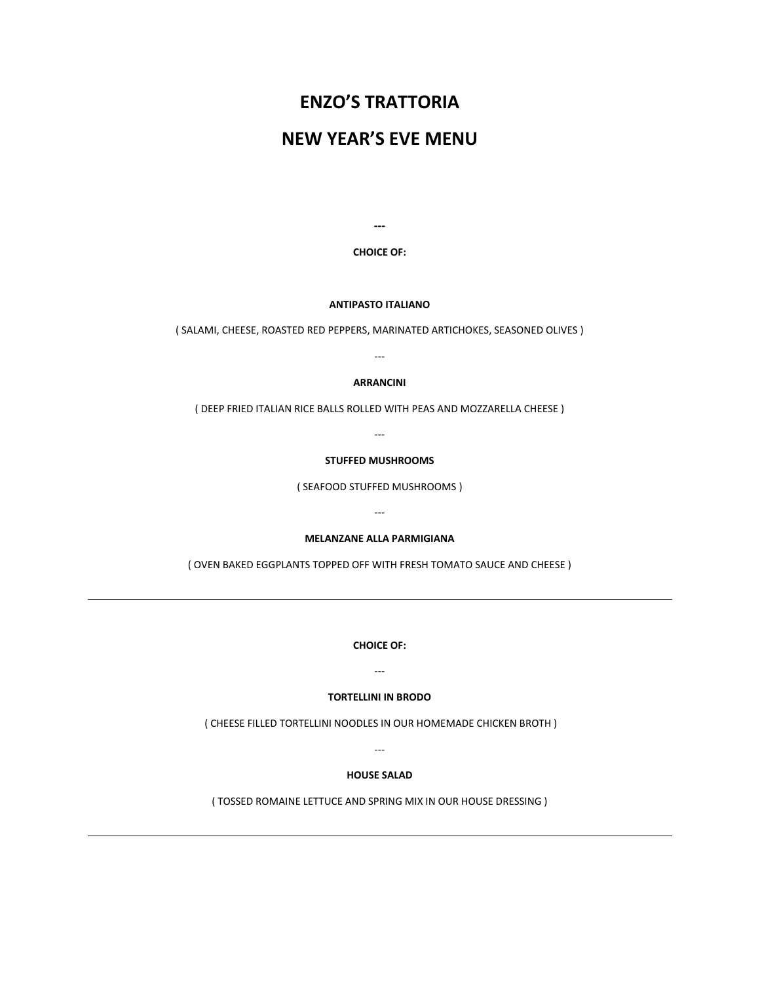# **ENZO'S TRATTORIA**

# **NEW YEAR'S EVE MENU**

**---**

**CHOICE OF:**

**ANTIPASTO ITALIANO**

( SALAMI, CHEESE, ROASTED RED PEPPERS, MARINATED ARTICHOKES, SEASONED OLIVES )

---

**ARRANCINI**

( DEEP FRIED ITALIAN RICE BALLS ROLLED WITH PEAS AND MOZZARELLA CHEESE )

---

#### **STUFFED MUSHROOMS**

( SEAFOOD STUFFED MUSHROOMS )

---

**MELANZANE ALLA PARMIGIANA**

( OVEN BAKED EGGPLANTS TOPPED OFF WITH FRESH TOMATO SAUCE AND CHEESE )

**CHOICE OF:**

---

#### **TORTELLINI IN BRODO**

( CHEESE FILLED TORTELLINI NOODLES IN OUR HOMEMADE CHICKEN BROTH )

---

## **HOUSE SALAD**

( TOSSED ROMAINE LETTUCE AND SPRING MIX IN OUR HOUSE DRESSING )